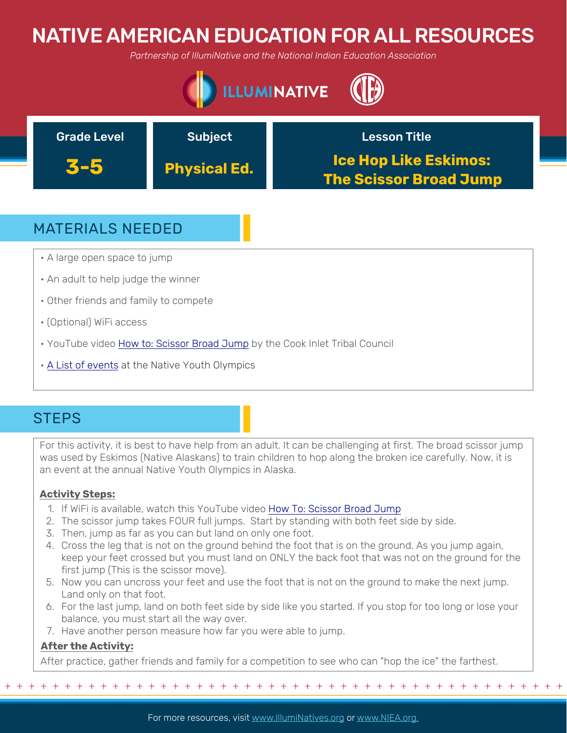# NATIVE AMERICAN EDUCATION FOR ALL RESOURCES

*Partnership of IllumiNative and the National Indian Education Association*





## MATERIALS NEEDED

- A large open space to jump
- An adult to help judge the winner
- Other friends and family to compete
- (Optional) WiFi access
- YouTube video [How to: Scissor Broad Jump](https://youtu.be/jBLdTXabGDI) by the Cook Inlet Tribal Council
- [A List of events](https://citci.org/partnerships-events/nyo-games/competitive-events/) at the Native Youth Olympics

## **STEPS**

For this activity, it is best to have help from an adult. It can be challenging at first. The broad scissor jump was used by Eskimos (Native Alaskans) to train children to hop along the broken ice carefully. Now, it is an event at the annual Native Youth Olympics in Alaska.

### **Activity Steps:**

- 1. If WiFi is available, watch this YouTube video [How To: Scissor Broad Jump](https://youtu.be/jBLdTXabGDI)
- 2. [The scissor jump takes FOUR full jumps. Start by standing with both feet side by side.](https://www.youtube.com/watch?v=ggfVuY4LJuo&t=24s)
- 3. Then, jump as far as you can but land on only one foot.
- 4. Cross the leg that is not on the ground behind the foot that is on the ground. As you jump again, [keep your feet crossed but you must land on ONLY the back foot that was not on the ground for th](https://americanindian.si.edu/environment/pdf/01_02_Thanksgiving_Address.pdf)e first jump (This is the scissor move).
- 5. Now you can uncross your feet and use the foot that is not on the ground to make the next jump. Land only on that foot.
- 6. For the last jump, land on both feet side by side like you started. If you stop for too long or lose your balance, you must start all the way over.
- 7. Have another person measure how far you were able to jump.

### **After the Activity:**

After practice, gather friends and family for a competition to see who can "hop the ice" the farthest.

For more resources, visit www.lllumiNatives.org or www.NIEA.org.

+ + + + + + + + + + + + + + + + + + + + + + + + + + + + + + + + + + + + + + + + + + + + + + + +